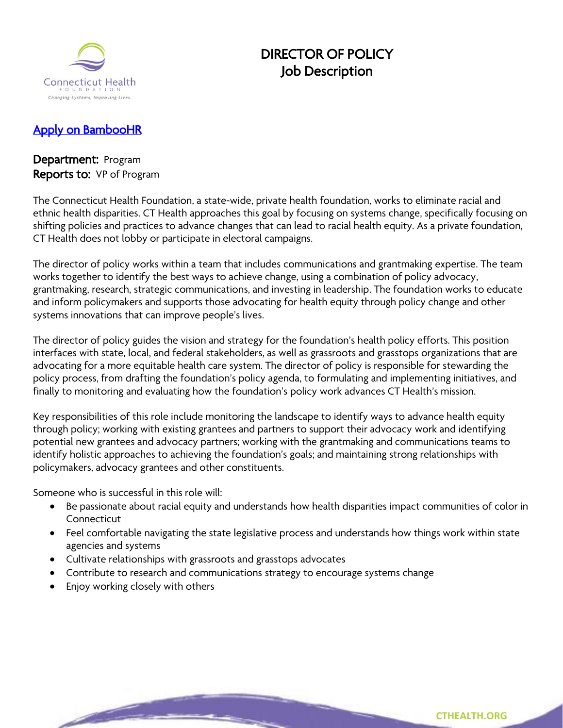

# DIRECTOR OF POLICY Job Description

## [Apply on BambooHR](https://connecticuthealthfoundation.bamboohr.com/jobs/view.php?id=22)

### Department: Program Reports to: VP of Program

The Connecticut Health Foundation, a state-wide, private health foundation, works to eliminate racial and ethnic health disparities. CT Health approaches this goal by focusing on systems change, specifically focusing on shifting policies and practices to advance changes that can lead to racial health equity. As a private foundation, CT Health does not lobby or participate in electoral campaigns.

The director of policy works within a team that includes communications and grantmaking expertise. The team works together to identify the best ways to achieve change, using a combination of policy advocacy, grantmaking, research, strategic communications, and investing in leadership. The foundation works to educate and inform policymakers and supports those advocating for health equity through policy change and other systems innovations that can improve people's lives.

The director of policy guides the vision and strategy for the foundation's health policy efforts. This position interfaces with state, local, and federal stakeholders, as well as grassroots and grasstops organizations that are advocating for a more equitable health care system. The director of policy is responsible for stewarding the policy process, from drafting the foundation's policy agenda, to formulating and implementing initiatives, and finally to monitoring and evaluating how the foundation's policy work advances CT Health's mission.

Key responsibilities of this role include monitoring the landscape to identify ways to advance health equity through policy; working with existing grantees and partners to support their advocacy work and identifying potential new grantees and advocacy partners; working with the grantmaking and communications teams to identify holistic approaches to achieving the foundation's goals; and maintaining strong relationships with policymakers, advocacy grantees and other constituents.

Someone who is successful in this role will:

- Be passionate about racial equity and understands how health disparities impact communities of color in **Connecticut**
- Feel comfortable navigating the state legislative process and understands how things work within state agencies and systems
- Cultivate relationships with grassroots and grasstops advocates
- Contribute to research and communications strategy to encourage systems change
- Enjoy working closely with others

<u>Station of the Communication of the Communication of the Communication of the Communication of the Communication of the Communication of the Communication of the Communication of the Communication of the Communication of </u>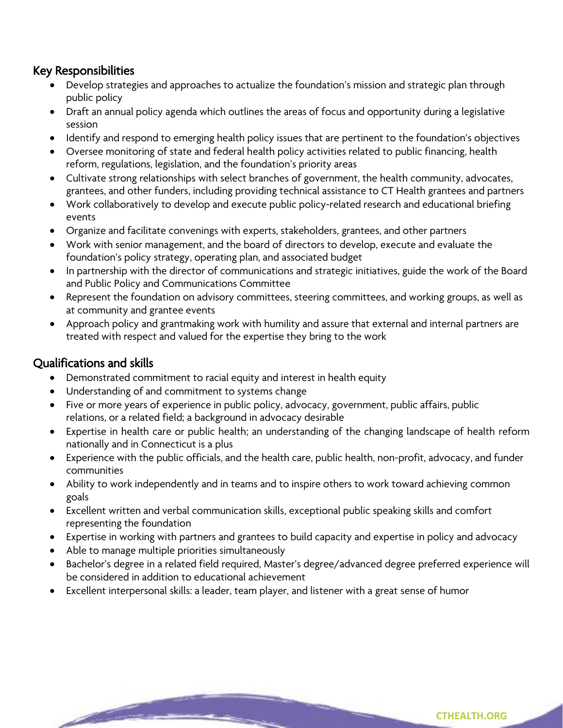### Key Responsibilities

- Develop strategies and approaches to actualize the foundation's mission and strategic plan through public policy
- Draft an annual policy agenda which outlines the areas of focus and opportunity during a legislative session
- Identify and respond to emerging health policy issues that are pertinent to the foundation's objectives
- Oversee monitoring of state and federal health policy activities related to public financing, health reform, regulations, legislation, and the foundation's priority areas
- Cultivate strong relationships with select branches of government, the health community, advocates, grantees, and other funders, including providing technical assistance to CT Health grantees and partners
- Work collaboratively to develop and execute public policy-related research and educational briefing events
- Organize and facilitate convenings with experts, stakeholders, grantees, and other partners
- Work with senior management, and the board of directors to develop, execute and evaluate the foundation's policy strategy, operating plan, and associated budget
- In partnership with the director of communications and strategic initiatives, guide the work of the Board and Public Policy and Communications Committee
- Represent the foundation on advisory committees, steering committees, and working groups, as well as at community and grantee events
- Approach policy and grantmaking work with humility and assure that external and internal partners are treated with respect and valued for the expertise they bring to the work

### Qualifications and skills

**Support of the United States** 

- Demonstrated commitment to racial equity and interest in health equity
- Understanding of and commitment to systems change
- Five or more years of experience in public policy, advocacy, government, public affairs, public relations, or a related field; a background in advocacy desirable
- Expertise in health care or public health; an understanding of the changing landscape of health reform nationally and in Connecticut is a plus
- Experience with the public officials, and the health care, public health, non-profit, advocacy, and funder communities
- Ability to work independently and in teams and to inspire others to work toward achieving common goals
- Excellent written and verbal communication skills, exceptional public speaking skills and comfort representing the foundation
- Expertise in working with partners and grantees to build capacity and expertise in policy and advocacy
- Able to manage multiple priorities simultaneously
- Bachelor's degree in a related field required, Master's degree/advanced degree preferred experience will be considered in addition to educational achievement
- Excellent interpersonal skills: a leader, team player, and listener with a great sense of humor